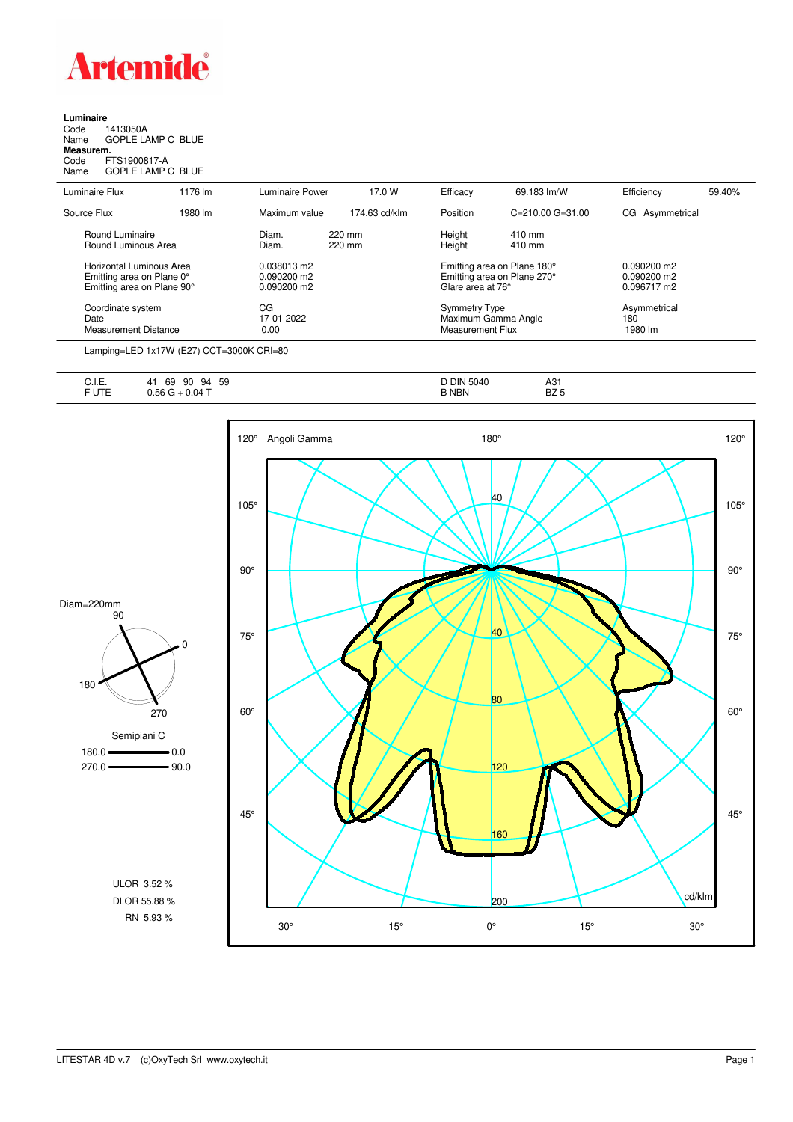

**Luminaire**<br>Code 1<br>Name ( Code 1413050A Name GOPLE LAMP C BLUE **Measurem.**

Code FTS1900817-A Name GOPLE LAMP C BLUE

| סווויס |  | <b>UUI LE LAIVII U DEC</b> |  |
|--------|--|----------------------------|--|
|        |  |                            |  |

| Luminaire Flux                                                                      | 1176 lm | Luminaire Power                               | 17.0 W           | Efficacy                          | 69.183 lm/W                                                | Efficiency                                    | 59.40% |
|-------------------------------------------------------------------------------------|---------|-----------------------------------------------|------------------|-----------------------------------|------------------------------------------------------------|-----------------------------------------------|--------|
| Source Flux                                                                         | 1980 lm | Maximum value                                 | 174.63 cd/klm    | Position                          | $C = 210.00$ $G = 31.00$                                   | CG Asymmetrical                               |        |
| Round Luminaire<br>Round Luminous Area                                              |         | Diam.<br>Diam.                                | 220 mm<br>220 mm | Height<br>Height                  | 410 mm<br>410 mm                                           |                                               |        |
| Horizontal Luminous Area<br>Emitting area on Plane 0°<br>Emitting area on Plane 90° |         | 0.038013 m2<br>$0.090200$ m2<br>$0.090200$ m2 |                  | Glare area at 76°                 | Emitting area on Plane 180°<br>Emitting area on Plane 270° | $0.090200$ m2<br>$0.090200$ m2<br>0.096717 m2 |        |
| Coordinate system<br>Date<br>Measurement Distance                                   |         | CG<br>17-01-2022<br>0.00                      |                  | Symmetry Type<br>Measurement Flux | Maximum Gamma Angle                                        | Asymmetrical<br>180<br>1980 lm                |        |

Lamping=LED 1x17W (E27) CCT=3000K CRI=80

| 5.1 <sub>1</sub><br>--<br>∪. I. ⊏.                                  | 59<br>69<br>90<br>94<br>41 | <b>DIN 5040</b> | A O<br>HJ I  |
|---------------------------------------------------------------------|----------------------------|-----------------|--------------|
| the contract of the contract of the contract of<br>$F \cup T$<br>◡喉 | $0.04 -$<br>56             | <b>NBN</b>      | ロフ に<br>DZ 5 |